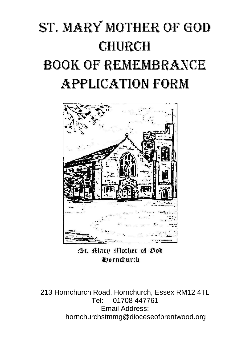## St. Mary Mother of God **CHURCH** Book of Remembrance Application Form



St. Mary Mother of God **Oornchurch** 

213 Hornchurch Road, Hornchurch, Essex RM12 4TL Tel: 01708 447761 Email Address: hornchurchstmmg@dioceseofbrentwood.org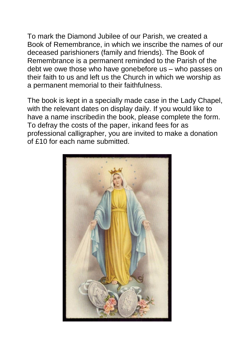To mark the Diamond Jubilee of our Parish, we created a Book of Remembrance, in which we inscribe the names of our deceased parishioners (family and friends). The Book of Remembrance is a permanent reminded to the Parish of the debt we owe those who have gonebefore us – who passes on their faith to us and left us the Church in which we worship as a permanent memorial to their faithfulness.

The book is kept in a specially made case in the Lady Chapel, with the relevant dates on display daily. If you would like to have a name inscribedin the book, please complete the form. To defray the costs of the paper, inkand fees for as professional calligrapher, you are invited to make a donation of £10 for each name submitted.

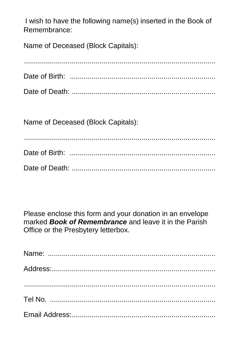I wish to have the following name(s) inserted in the Book of Remembrance:

Name of Deceased (Block Capitals):

Name of Deceased (Block Capitals):

Please enclose this form and your donation in an envelope marked **Book of Remembrance** and leave it in the Parish Office or the Presbytery letterbox.